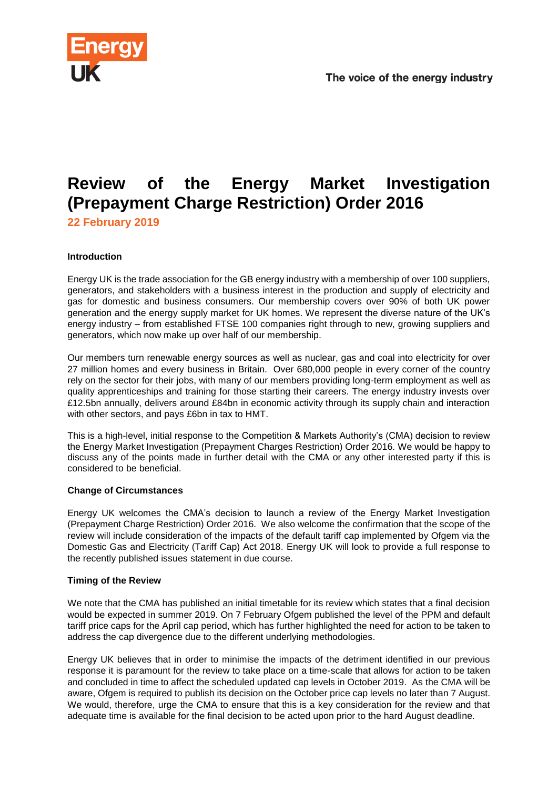

## **Review of the Energy Market Investigation (Prepayment Charge Restriction) Order 2016**

**22 February 2019**

## **Introduction**

Energy UK is the trade association for the GB energy industry with a membership of over 100 suppliers, generators, and stakeholders with a business interest in the production and supply of electricity and gas for domestic and business consumers. Our membership covers over 90% of both UK power generation and the energy supply market for UK homes. We represent the diverse nature of the UK's energy industry – from established FTSE 100 companies right through to new, growing suppliers and generators, which now make up over half of our membership.

Our members turn renewable energy sources as well as nuclear, gas and coal into electricity for over 27 million homes and every business in Britain. Over 680,000 people in every corner of the country rely on the sector for their jobs, with many of our members providing long-term employment as well as quality apprenticeships and training for those starting their careers. The energy industry invests over £12.5bn annually, delivers around £84bn in economic activity through its supply chain and interaction with other sectors, and pays £6bn in tax to HMT.

This is a high-level, initial response to the Competition & Markets Authority's (CMA) decision to review the Energy Market Investigation (Prepayment Charges Restriction) Order 2016. We would be happy to discuss any of the points made in further detail with the CMA or any other interested party if this is considered to be beneficial.

## **Change of Circumstances**

Energy UK welcomes the CMA's decision to launch a review of the Energy Market Investigation (Prepayment Charge Restriction) Order 2016. We also welcome the confirmation that the scope of the review will include consideration of the impacts of the default tariff cap implemented by Ofgem via the Domestic Gas and Electricity (Tariff Cap) Act 2018. Energy UK will look to provide a full response to the recently published issues statement in due course.

## **Timing of the Review**

We note that the CMA has published an initial timetable for its review which states that a final decision would be expected in summer 2019. On 7 February Ofgem published the level of the PPM and default tariff price caps for the April cap period, which has further highlighted the need for action to be taken to address the cap divergence due to the different underlying methodologies.

Energy UK believes that in order to minimise the impacts of the detriment identified in our previous response it is paramount for the review to take place on a time-scale that allows for action to be taken and concluded in time to affect the scheduled updated cap levels in October 2019. As the CMA will be aware, Ofgem is required to publish its decision on the October price cap levels no later than 7 August. We would, therefore, urge the CMA to ensure that this is a key consideration for the review and that adequate time is available for the final decision to be acted upon prior to the hard August deadline.